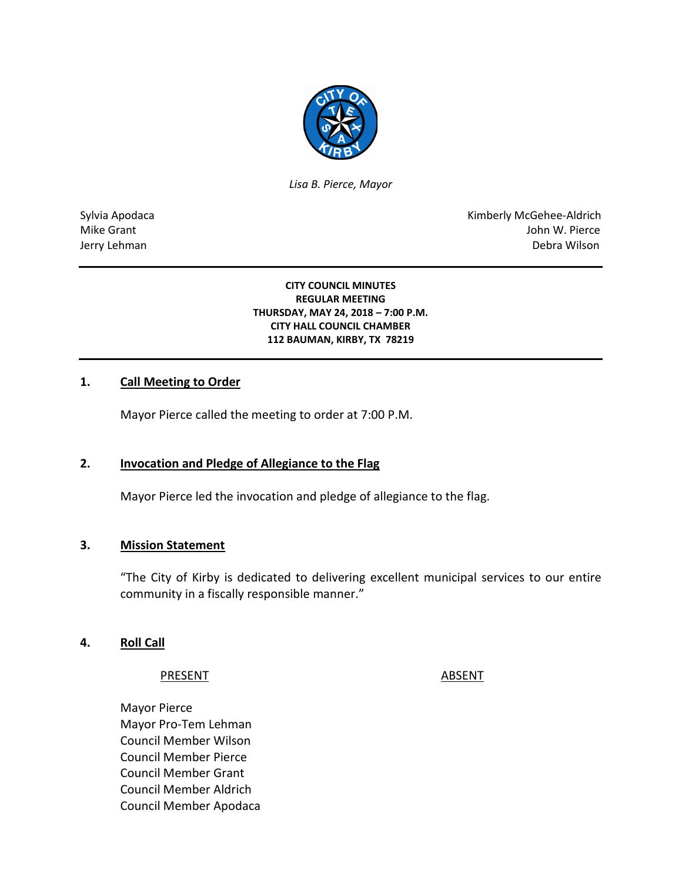

*Lisa B. Pierce, Mayor* 

Sylvia Apodaca National American Communication of the Communication of the Kimberly McGehee-Aldrich Mike Grant John W. Pierce Jerry Lehman Debra Wilson

> **CITY COUNCIL MINUTES REGULAR MEETING THURSDAY, MAY 24, 2018 – 7:00 P.M. CITY HALL COUNCIL CHAMBER 112 BAUMAN, KIRBY, TX 78219**

### **1. Call Meeting to Order**

Mayor Pierce called the meeting to order at 7:00 P.M.

### **2. Invocation and Pledge of Allegiance to the Flag**

Mayor Pierce led the invocation and pledge of allegiance to the flag.

### **3. Mission Statement**

"The City of Kirby is dedicated to delivering excellent municipal services to our entire community in a fiscally responsible manner."

#### **4. Roll Call**

#### PRESENT ABSENT

Mayor Pierce Mayor Pro-Tem Lehman Council Member Wilson Council Member Pierce Council Member Grant Council Member Aldrich Council Member Apodaca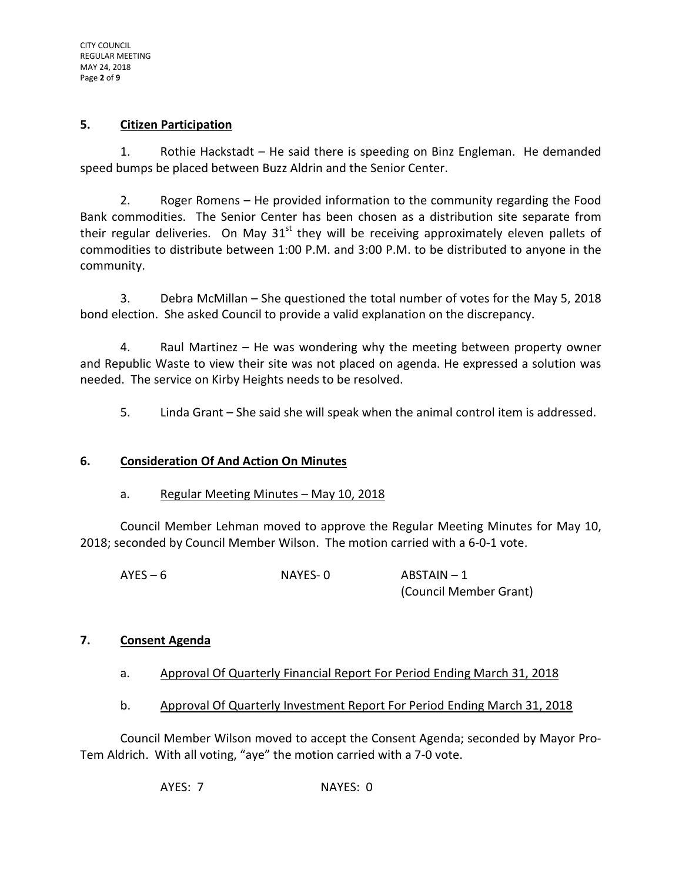### **5. Citizen Participation**

1. Rothie Hackstadt – He said there is speeding on Binz Engleman. He demanded speed bumps be placed between Buzz Aldrin and the Senior Center.

2. Roger Romens – He provided information to the community regarding the Food Bank commodities. The Senior Center has been chosen as a distribution site separate from their regular deliveries. On May  $31<sup>st</sup>$  they will be receiving approximately eleven pallets of commodities to distribute between 1:00 P.M. and 3:00 P.M. to be distributed to anyone in the community.

3. Debra McMillan – She questioned the total number of votes for the May 5, 2018 bond election. She asked Council to provide a valid explanation on the discrepancy.

4. Raul Martinez – He was wondering why the meeting between property owner and Republic Waste to view their site was not placed on agenda. He expressed a solution was needed. The service on Kirby Heights needs to be resolved.

5. Linda Grant – She said she will speak when the animal control item is addressed.

# **6. Consideration Of And Action On Minutes**

### a. Regular Meeting Minutes – May 10, 2018

Council Member Lehman moved to approve the Regular Meeting Minutes for May 10, 2018; seconded by Council Member Wilson. The motion carried with a 6-0-1 vote.

| $AYES - 6$ | NAYES-0 | $ABSTAIN - 1$          |
|------------|---------|------------------------|
|            |         | (Council Member Grant) |

### **7. Consent Agenda**

- a. Approval Of Quarterly Financial Report For Period Ending March 31, 2018
- b. Approval Of Quarterly Investment Report For Period Ending March 31, 2018

Council Member Wilson moved to accept the Consent Agenda; seconded by Mayor Pro-Tem Aldrich. With all voting, "aye" the motion carried with a 7-0 vote.

AYES: 7 NAYES: 0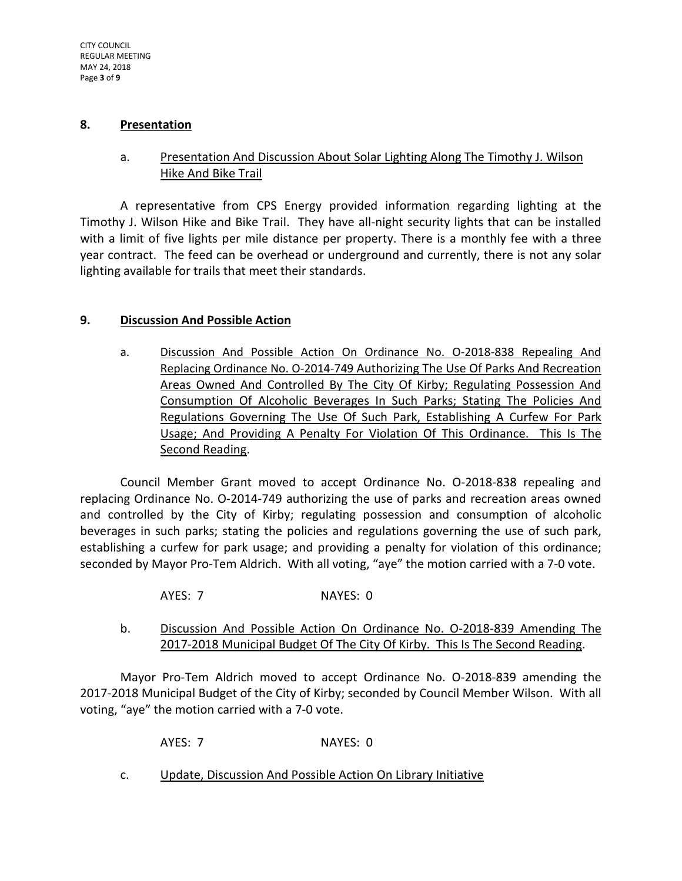### **8. Presentation**

# a. Presentation And Discussion About Solar Lighting Along The Timothy J. Wilson Hike And Bike Trail

A representative from CPS Energy provided information regarding lighting at the Timothy J. Wilson Hike and Bike Trail. They have all-night security lights that can be installed with a limit of five lights per mile distance per property. There is a monthly fee with a three year contract. The feed can be overhead or underground and currently, there is not any solar lighting available for trails that meet their standards.

## **9. Discussion And Possible Action**

a. Discussion And Possible Action On Ordinance No. O-2018-838 Repealing And Replacing Ordinance No. O-2014-749 Authorizing The Use Of Parks And Recreation Areas Owned And Controlled By The City Of Kirby; Regulating Possession And Consumption Of Alcoholic Beverages In Such Parks; Stating The Policies And Regulations Governing The Use Of Such Park, Establishing A Curfew For Park Usage; And Providing A Penalty For Violation Of This Ordinance. This Is The Second Reading.

Council Member Grant moved to accept Ordinance No. O-2018-838 repealing and replacing Ordinance No. O-2014-749 authorizing the use of parks and recreation areas owned and controlled by the City of Kirby; regulating possession and consumption of alcoholic beverages in such parks; stating the policies and regulations governing the use of such park, establishing a curfew for park usage; and providing a penalty for violation of this ordinance; seconded by Mayor Pro-Tem Aldrich. With all voting, "aye" the motion carried with a 7-0 vote.

- AYES: 7 NAYES: 0
- b. Discussion And Possible Action On Ordinance No. O-2018-839 Amending The 2017-2018 Municipal Budget Of The City Of Kirby. This Is The Second Reading.

Mayor Pro-Tem Aldrich moved to accept Ordinance No. O-2018-839 amending the 2017-2018 Municipal Budget of the City of Kirby; seconded by Council Member Wilson. With all voting, "aye" the motion carried with a 7-0 vote.

AYES: 7 NAYES: 0

c. Update, Discussion And Possible Action On Library Initiative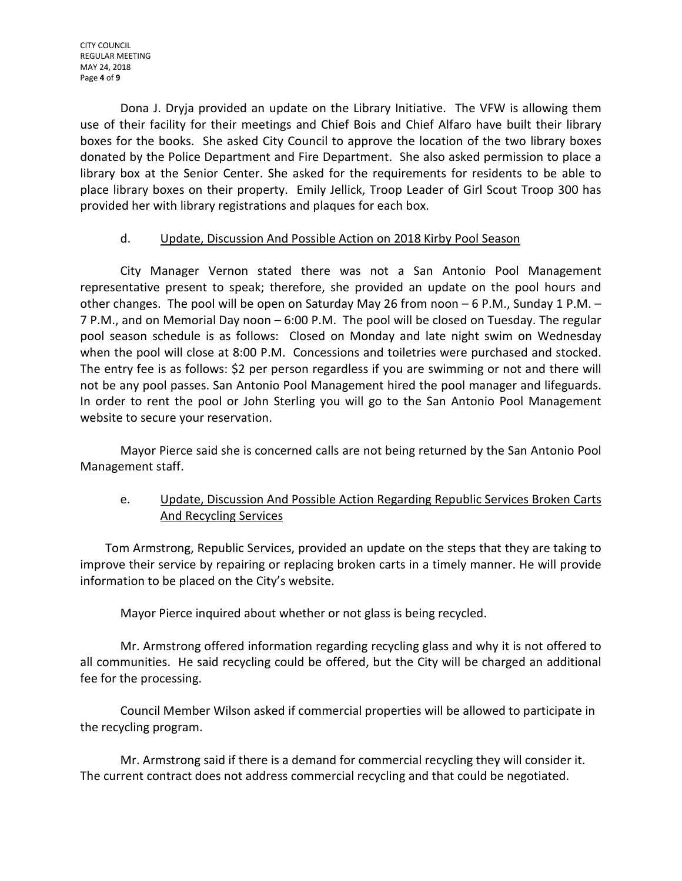Dona J. Dryja provided an update on the Library Initiative. The VFW is allowing them use of their facility for their meetings and Chief Bois and Chief Alfaro have built their library boxes for the books. She asked City Council to approve the location of the two library boxes donated by the Police Department and Fire Department. She also asked permission to place a library box at the Senior Center. She asked for the requirements for residents to be able to place library boxes on their property. Emily Jellick, Troop Leader of Girl Scout Troop 300 has provided her with library registrations and plaques for each box.

# d. Update, Discussion And Possible Action on 2018 Kirby Pool Season

City Manager Vernon stated there was not a San Antonio Pool Management representative present to speak; therefore, she provided an update on the pool hours and other changes. The pool will be open on Saturday May 26 from noon – 6 P.M., Sunday 1 P.M. – 7 P.M., and on Memorial Day noon – 6:00 P.M. The pool will be closed on Tuesday. The regular pool season schedule is as follows: Closed on Monday and late night swim on Wednesday when the pool will close at 8:00 P.M. Concessions and toiletries were purchased and stocked. The entry fee is as follows: \$2 per person regardless if you are swimming or not and there will not be any pool passes. San Antonio Pool Management hired the pool manager and lifeguards. In order to rent the pool or John Sterling you will go to the San Antonio Pool Management website to secure your reservation.

Mayor Pierce said she is concerned calls are not being returned by the San Antonio Pool Management staff.

# e. Update, Discussion And Possible Action Regarding Republic Services Broken Carts And Recycling Services

Tom Armstrong, Republic Services, provided an update on the steps that they are taking to improve their service by repairing or replacing broken carts in a timely manner. He will provide information to be placed on the City's website.

Mayor Pierce inquired about whether or not glass is being recycled.

Mr. Armstrong offered information regarding recycling glass and why it is not offered to all communities. He said recycling could be offered, but the City will be charged an additional fee for the processing.

Council Member Wilson asked if commercial properties will be allowed to participate in the recycling program.

Mr. Armstrong said if there is a demand for commercial recycling they will consider it. The current contract does not address commercial recycling and that could be negotiated.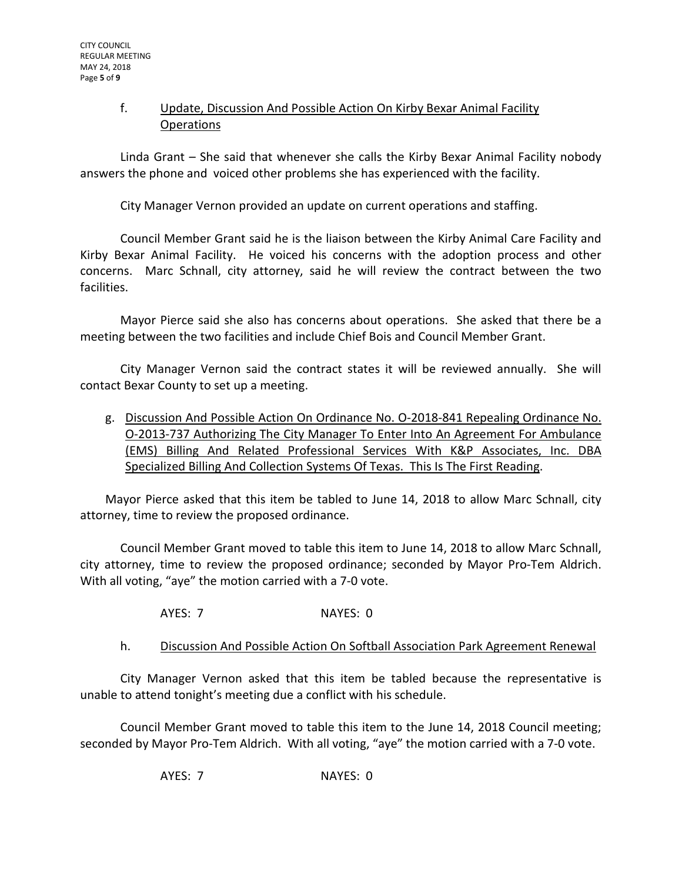# f. Update, Discussion And Possible Action On Kirby Bexar Animal Facility Operations

Linda Grant – She said that whenever she calls the Kirby Bexar Animal Facility nobody answers the phone and voiced other problems she has experienced with the facility.

City Manager Vernon provided an update on current operations and staffing.

Council Member Grant said he is the liaison between the Kirby Animal Care Facility and Kirby Bexar Animal Facility. He voiced his concerns with the adoption process and other concerns. Marc Schnall, city attorney, said he will review the contract between the two facilities.

Mayor Pierce said she also has concerns about operations. She asked that there be a meeting between the two facilities and include Chief Bois and Council Member Grant.

City Manager Vernon said the contract states it will be reviewed annually. She will contact Bexar County to set up a meeting.

g. Discussion And Possible Action On Ordinance No. O-2018-841 Repealing Ordinance No. O-2013-737 Authorizing The City Manager To Enter Into An Agreement For Ambulance (EMS) Billing And Related Professional Services With K&P Associates, Inc. DBA Specialized Billing And Collection Systems Of Texas. This Is The First Reading.

Mayor Pierce asked that this item be tabled to June 14, 2018 to allow Marc Schnall, city attorney, time to review the proposed ordinance.

Council Member Grant moved to table this item to June 14, 2018 to allow Marc Schnall, city attorney, time to review the proposed ordinance; seconded by Mayor Pro-Tem Aldrich. With all voting, "aye" the motion carried with a 7-0 vote.

AYES: 7 NAYES: 0

### h. Discussion And Possible Action On Softball Association Park Agreement Renewal

City Manager Vernon asked that this item be tabled because the representative is unable to attend tonight's meeting due a conflict with his schedule.

Council Member Grant moved to table this item to the June 14, 2018 Council meeting; seconded by Mayor Pro-Tem Aldrich. With all voting, "aye" the motion carried with a 7-0 vote.

AYES: 7 NAYES: 0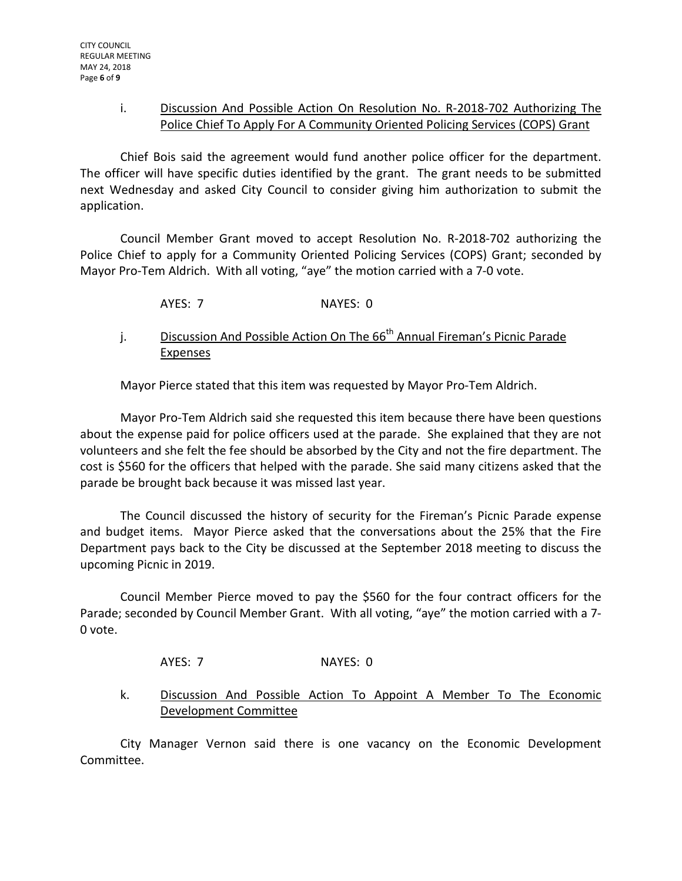## i. Discussion And Possible Action On Resolution No. R-2018-702 Authorizing The Police Chief To Apply For A Community Oriented Policing Services (COPS) Grant

Chief Bois said the agreement would fund another police officer for the department. The officer will have specific duties identified by the grant. The grant needs to be submitted next Wednesday and asked City Council to consider giving him authorization to submit the application.

Council Member Grant moved to accept Resolution No. R-2018-702 authorizing the Police Chief to apply for a Community Oriented Policing Services (COPS) Grant; seconded by Mayor Pro-Tem Aldrich. With all voting, "aye" the motion carried with a 7-0 vote.

AYES: 7 NAYES: 0

j. Discussion And Possible Action On The  $66<sup>th</sup>$  Annual Fireman's Picnic Parade **Expenses** 

Mayor Pierce stated that this item was requested by Mayor Pro-Tem Aldrich.

Mayor Pro-Tem Aldrich said she requested this item because there have been questions about the expense paid for police officers used at the parade. She explained that they are not volunteers and she felt the fee should be absorbed by the City and not the fire department. The cost is \$560 for the officers that helped with the parade. She said many citizens asked that the parade be brought back because it was missed last year.

The Council discussed the history of security for the Fireman's Picnic Parade expense and budget items. Mayor Pierce asked that the conversations about the 25% that the Fire Department pays back to the City be discussed at the September 2018 meeting to discuss the upcoming Picnic in 2019.

Council Member Pierce moved to pay the \$560 for the four contract officers for the Parade; seconded by Council Member Grant. With all voting, "aye" the motion carried with a 7- 0 vote.

AYES: 7 NAYES: 0

k. Discussion And Possible Action To Appoint A Member To The Economic Development Committee

City Manager Vernon said there is one vacancy on the Economic Development Committee.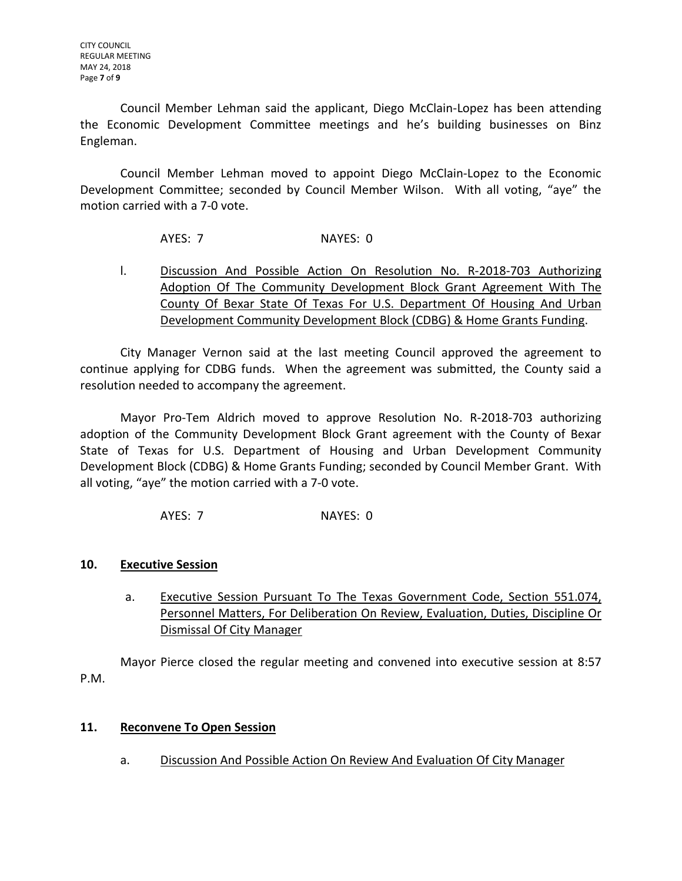Council Member Lehman said the applicant, Diego McClain-Lopez has been attending the Economic Development Committee meetings and he's building businesses on Binz Engleman.

Council Member Lehman moved to appoint Diego McClain-Lopez to the Economic Development Committee; seconded by Council Member Wilson. With all voting, "aye" the motion carried with a 7-0 vote.

AYES: 7 NAYES: 0

l. Discussion And Possible Action On Resolution No. R-2018-703 Authorizing Adoption Of The Community Development Block Grant Agreement With The County Of Bexar State Of Texas For U.S. Department Of Housing And Urban Development Community Development Block (CDBG) & Home Grants Funding.

City Manager Vernon said at the last meeting Council approved the agreement to continue applying for CDBG funds. When the agreement was submitted, the County said a resolution needed to accompany the agreement.

Mayor Pro-Tem Aldrich moved to approve Resolution No. R-2018-703 authorizing adoption of the Community Development Block Grant agreement with the County of Bexar State of Texas for U.S. Department of Housing and Urban Development Community Development Block (CDBG) & Home Grants Funding; seconded by Council Member Grant. With all voting, "aye" the motion carried with a 7-0 vote.

AYES: 7 NAYES: 0

# **10. Executive Session**

a. Executive Session Pursuant To The Texas Government Code, Section 551.074, Personnel Matters, For Deliberation On Review, Evaluation, Duties, Discipline Or Dismissal Of City Manager

Mayor Pierce closed the regular meeting and convened into executive session at 8:57 P.M.

# **11. Reconvene To Open Session**

a. Discussion And Possible Action On Review And Evaluation Of City Manager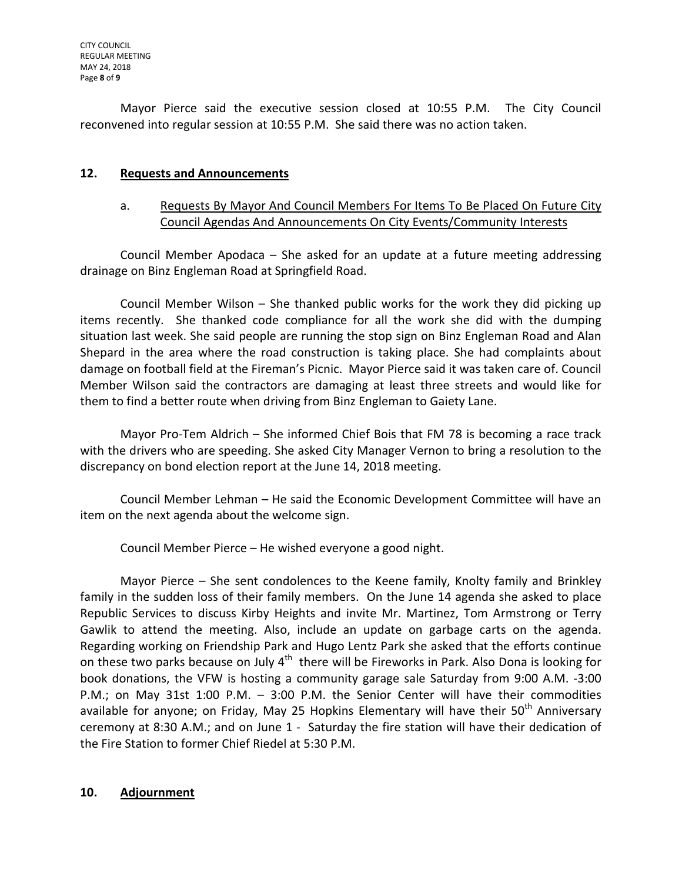Mayor Pierce said the executive session closed at 10:55 P.M. The City Council reconvened into regular session at 10:55 P.M. She said there was no action taken.

# **12. Requests and Announcements**

# a. Requests By Mayor And Council Members For Items To Be Placed On Future City Council Agendas And Announcements On City Events/Community Interests

Council Member Apodaca – She asked for an update at a future meeting addressing drainage on Binz Engleman Road at Springfield Road.

Council Member Wilson – She thanked public works for the work they did picking up items recently. She thanked code compliance for all the work she did with the dumping situation last week. She said people are running the stop sign on Binz Engleman Road and Alan Shepard in the area where the road construction is taking place. She had complaints about damage on football field at the Fireman's Picnic. Mayor Pierce said it was taken care of. Council Member Wilson said the contractors are damaging at least three streets and would like for them to find a better route when driving from Binz Engleman to Gaiety Lane.

Mayor Pro-Tem Aldrich – She informed Chief Bois that FM 78 is becoming a race track with the drivers who are speeding. She asked City Manager Vernon to bring a resolution to the discrepancy on bond election report at the June 14, 2018 meeting.

Council Member Lehman – He said the Economic Development Committee will have an item on the next agenda about the welcome sign.

Council Member Pierce – He wished everyone a good night.

Mayor Pierce – She sent condolences to the Keene family, Knolty family and Brinkley family in the sudden loss of their family members. On the June 14 agenda she asked to place Republic Services to discuss Kirby Heights and invite Mr. Martinez, Tom Armstrong or Terry Gawlik to attend the meeting. Also, include an update on garbage carts on the agenda. Regarding working on Friendship Park and Hugo Lentz Park she asked that the efforts continue on these two parks because on July  $4^{th}$  there will be Fireworks in Park. Also Dona is looking for book donations, the VFW is hosting a community garage sale Saturday from 9:00 A.M. -3:00 P.M.; on May 31st 1:00 P.M. – 3:00 P.M. the Senior Center will have their commodities available for anyone; on Friday, May 25 Hopkins Elementary will have their 50<sup>th</sup> Anniversary ceremony at 8:30 A.M.; and on June 1 - Saturday the fire station will have their dedication of the Fire Station to former Chief Riedel at 5:30 P.M.

# **10. Adjournment**